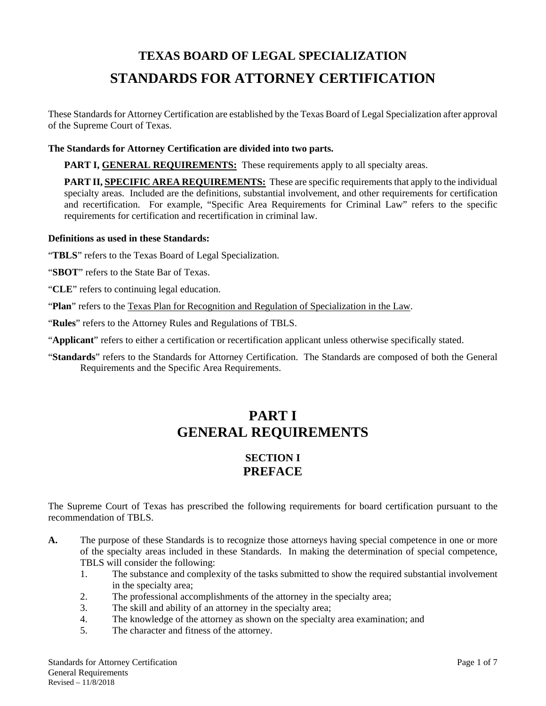# **TEXAS BOARD OF LEGAL SPECIALIZATION STANDARDS FOR ATTORNEY CERTIFICATION**

These Standards for Attorney Certification are established by the Texas Board of Legal Specialization after approval of the Supreme Court of Texas.

#### **The Standards for Attorney Certification are divided into two parts.**

**PART I, GENERAL REQUIREMENTS:** These requirements apply to all specialty areas.

**PART II, SPECIFIC AREA REQUIREMENTS:** These are specific requirements that apply to the individual specialty areas. Included are the definitions, substantial involvement, and other requirements for certification and recertification. For example, "Specific Area Requirements for Criminal Law" refers to the specific requirements for certification and recertification in criminal law.

#### **Definitions as used in these Standards:**

"**TBLS**" refers to the Texas Board of Legal Specialization.

- "**SBOT**" refers to the State Bar of Texas.
- "**CLE**" refers to continuing legal education.
- "**Plan**" refers to the Texas Plan for Recognition and Regulation of Specialization in the Law.
- "**Rules**" refers to the Attorney Rules and Regulations of TBLS.
- "**Applicant**" refers to either a certification or recertification applicant unless otherwise specifically stated.
- "**Standards**" refers to the Standards for Attorney Certification. The Standards are composed of both the General Requirements and the Specific Area Requirements.

## **PART I GENERAL REQUIREMENTS**

## **SECTION I PREFACE**

The Supreme Court of Texas has prescribed the following requirements for board certification pursuant to the recommendation of TBLS.

- **A.** The purpose of these Standards is to recognize those attorneys having special competence in one or more of the specialty areas included in these Standards. In making the determination of special competence, TBLS will consider the following:
	- 1. The substance and complexity of the tasks submitted to show the required substantial involvement in the specialty area;
	- 2. The professional accomplishments of the attorney in the specialty area;
	- 3. The skill and ability of an attorney in the specialty area;
	- 4. The knowledge of the attorney as shown on the specialty area examination; and
	- 5. The character and fitness of the attorney.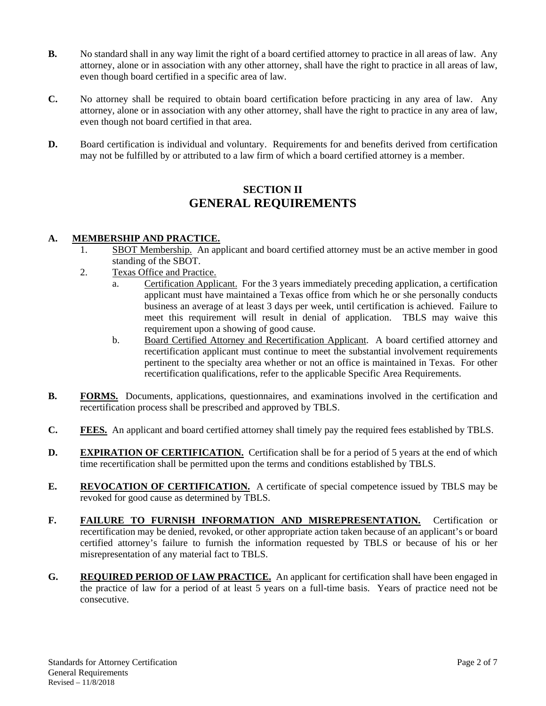- **B.** No standard shall in any way limit the right of a board certified attorney to practice in all areas of law. Any attorney, alone or in association with any other attorney, shall have the right to practice in all areas of law, even though board certified in a specific area of law.
- **C.** No attorney shall be required to obtain board certification before practicing in any area of law. Any attorney, alone or in association with any other attorney, shall have the right to practice in any area of law, even though not board certified in that area.
- **D.** Board certification is individual and voluntary. Requirements for and benefits derived from certification may not be fulfilled by or attributed to a law firm of which a board certified attorney is a member.

### **SECTION II GENERAL REQUIREMENTS**

#### **A. MEMBERSHIP AND PRACTICE.**

- 1. SBOT Membership. An applicant and board certified attorney must be an active member in good standing of the SBOT.
- 2. Texas Office and Practice.
	- a. Certification Applicant. For the 3 years immediately preceding application, a certification applicant must have maintained a Texas office from which he or she personally conducts business an average of at least 3 days per week, until certification is achieved. Failure to meet this requirement will result in denial of application. TBLS may waive this requirement upon a showing of good cause.
		- b. Board Certified Attorney and Recertification Applicant. A board certified attorney and recertification applicant must continue to meet the substantial involvement requirements pertinent to the specialty area whether or not an office is maintained in Texas. For other recertification qualifications, refer to the applicable Specific Area Requirements.
- **B.** FORMS. Documents, applications, questionnaires, and examinations involved in the certification and recertification process shall be prescribed and approved by TBLS.
- **C. FEES.** An applicant and board certified attorney shall timely pay the required fees established by TBLS.
- **D.** EXPIRATION OF CERTIFICATION. Certification shall be for a period of 5 years at the end of which time recertification shall be permitted upon the terms and conditions established by TBLS.
- **E.** REVOCATION OF CERTIFICATION. A certificate of special competence issued by TBLS may be revoked for good cause as determined by TBLS.
- **F. FAILURE TO FURNISH INFORMATION AND MISREPRESENTATION.** Certification or recertification may be denied, revoked, or other appropriate action taken because of an applicant's or board certified attorney's failure to furnish the information requested by TBLS or because of his or her misrepresentation of any material fact to TBLS.
- **G. REQUIRED PERIOD OF LAW PRACTICE.** An applicant for certification shall have been engaged in the practice of law for a period of at least 5 years on a full-time basis. Years of practice need not be consecutive.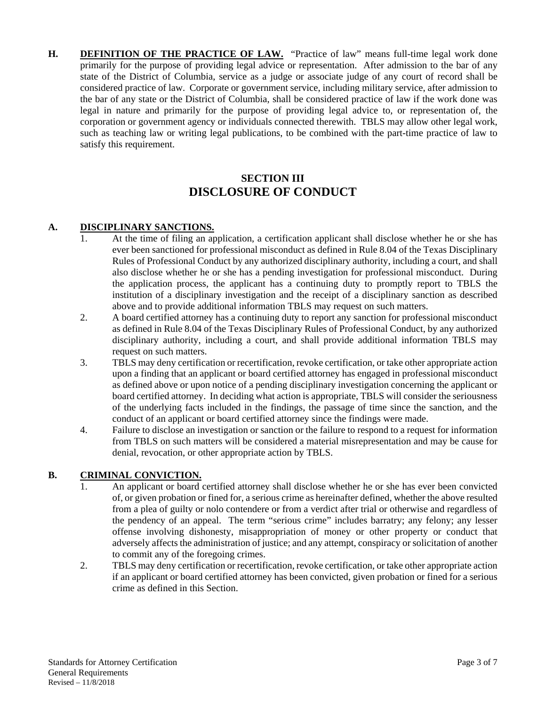**H. DEFINITION OF THE PRACTICE OF LAW.** "Practice of law" means full-time legal work done primarily for the purpose of providing legal advice or representation. After admission to the bar of any state of the District of Columbia, service as a judge or associate judge of any court of record shall be considered practice of law. Corporate or government service, including military service, after admission to the bar of any state or the District of Columbia, shall be considered practice of law if the work done was legal in nature and primarily for the purpose of providing legal advice to, or representation of, the corporation or government agency or individuals connected therewith. TBLS may allow other legal work, such as teaching law or writing legal publications, to be combined with the part-time practice of law to satisfy this requirement.

## **SECTION III DISCLOSURE OF CONDUCT**

#### **A. DISCIPLINARY SANCTIONS.**

- 1. At the time of filing an application, a certification applicant shall disclose whether he or she has ever been sanctioned for professional misconduct as defined in Rule 8.04 of the Texas Disciplinary Rules of Professional Conduct by any authorized disciplinary authority, including a court, and shall also disclose whether he or she has a pending investigation for professional misconduct. During the application process, the applicant has a continuing duty to promptly report to TBLS the institution of a disciplinary investigation and the receipt of a disciplinary sanction as described above and to provide additional information TBLS may request on such matters.
- 2. A board certified attorney has a continuing duty to report any sanction for professional misconduct as defined in Rule 8.04 of the Texas Disciplinary Rules of Professional Conduct, by any authorized disciplinary authority, including a court, and shall provide additional information TBLS may request on such matters.
- 3. TBLS may deny certification or recertification, revoke certification, or take other appropriate action upon a finding that an applicant or board certified attorney has engaged in professional misconduct as defined above or upon notice of a pending disciplinary investigation concerning the applicant or board certified attorney. In deciding what action is appropriate, TBLS will consider the seriousness of the underlying facts included in the findings, the passage of time since the sanction, and the conduct of an applicant or board certified attorney since the findings were made.
- 4. Failure to disclose an investigation or sanction or the failure to respond to a request for information from TBLS on such matters will be considered a material misrepresentation and may be cause for denial, revocation, or other appropriate action by TBLS.

#### **B. CRIMINAL CONVICTION.**

- 1. An applicant or board certified attorney shall disclose whether he or she has ever been convicted of, or given probation or fined for, a serious crime as hereinafter defined, whether the above resulted from a plea of guilty or nolo contendere or from a verdict after trial or otherwise and regardless of the pendency of an appeal. The term "serious crime" includes barratry; any felony; any lesser offense involving dishonesty, misappropriation of money or other property or conduct that adversely affects the administration of justice; and any attempt, conspiracy or solicitation of another to commit any of the foregoing crimes.
- 2. TBLS may deny certification or recertification, revoke certification, or take other appropriate action if an applicant or board certified attorney has been convicted, given probation or fined for a serious crime as defined in this Section.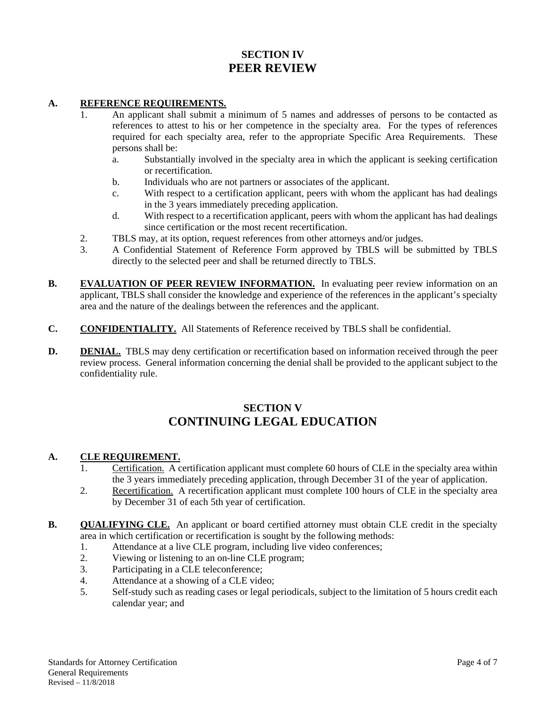## **SECTION IV PEER REVIEW**

#### **A. REFERENCE REQUIREMENTS.**

- 1. An applicant shall submit a minimum of 5 names and addresses of persons to be contacted as references to attest to his or her competence in the specialty area. For the types of references required for each specialty area, refer to the appropriate Specific Area Requirements. These persons shall be:
	- a. Substantially involved in the specialty area in which the applicant is seeking certification or recertification.
	- b. Individuals who are not partners or associates of the applicant.
	- c. With respect to a certification applicant, peers with whom the applicant has had dealings in the 3 years immediately preceding application.
	- d. With respect to a recertification applicant, peers with whom the applicant has had dealings since certification or the most recent recertification.
- 2. TBLS may, at its option, request references from other attorneys and/or judges.
- 3. A Confidential Statement of Reference Form approved by TBLS will be submitted by TBLS directly to the selected peer and shall be returned directly to TBLS.
- **B. EVALUATION OF PEER REVIEW INFORMATION.** In evaluating peer review information on an applicant, TBLS shall consider the knowledge and experience of the references in the applicant's specialty area and the nature of the dealings between the references and the applicant.
- **C. CONFIDENTIALITY.** All Statements of Reference received by TBLS shall be confidential.
- **D.** DENIAL. TBLS may deny certification or recertification based on information received through the peer review process. General information concerning the denial shall be provided to the applicant subject to the confidentiality rule.

## **SECTION V CONTINUING LEGAL EDUCATION**

#### **A. CLE REQUIREMENT.**

- 1. Certification. A certification applicant must complete 60 hours of CLE in the specialty area within the 3 years immediately preceding application, through December 31 of the year of application.
- 2. Recertification. A recertification applicant must complete 100 hours of CLE in the specialty area by December 31 of each 5th year of certification.
- **B.** QUALIFYING CLE. An applicant or board certified attorney must obtain CLE credit in the specialty area in which certification or recertification is sought by the following methods:
	- 1. Attendance at a live CLE program, including live video conferences;
	- 2. Viewing or listening to an on-line CLE program;
	- 3. Participating in a CLE teleconference;
	- 4. Attendance at a showing of a CLE video;
	- 5. Self-study such as reading cases or legal periodicals, subject to the limitation of 5 hours credit each calendar year; and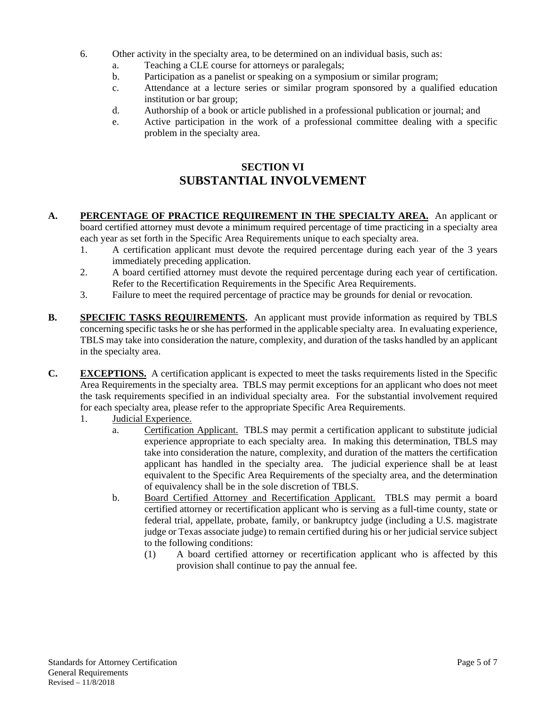- 6. Other activity in the specialty area, to be determined on an individual basis, such as:
	- a. Teaching a CLE course for attorneys or paralegals;
	- b. Participation as a panelist or speaking on a symposium or similar program;
	- c. Attendance at a lecture series or similar program sponsored by a qualified education institution or bar group;
	- d. Authorship of a book or article published in a professional publication or journal; and
	- e. Active participation in the work of a professional committee dealing with a specific problem in the specialty area.

## **SECTION VI SUBSTANTIAL INVOLVEMENT**

- **A. PERCENTAGE OF PRACTICE REQUIREMENT IN THE SPECIALTY AREA.** An applicant or board certified attorney must devote a minimum required percentage of time practicing in a specialty area each year as set forth in the Specific Area Requirements unique to each specialty area.
	- 1. A certification applicant must devote the required percentage during each year of the 3 years immediately preceding application.
	- 2. A board certified attorney must devote the required percentage during each year of certification. Refer to the Recertification Requirements in the Specific Area Requirements.
	- 3. Failure to meet the required percentage of practice may be grounds for denial or revocation.
- **B.** SPECIFIC TASKS REQUIREMENTS. An applicant must provide information as required by TBLS concerning specific tasks he or she has performed in the applicable specialty area. In evaluating experience, TBLS may take into consideration the nature, complexity, and duration of the tasks handled by an applicant in the specialty area.
- **C. EXCEPTIONS.** A certification applicant is expected to meet the tasks requirements listed in the Specific Area Requirements in the specialty area. TBLS may permit exceptions for an applicant who does not meet the task requirements specified in an individual specialty area. For the substantial involvement required for each specialty area, please refer to the appropriate Specific Area Requirements.
	- 1. Judicial Experience.
		- a. Certification Applicant. TBLS may permit a certification applicant to substitute judicial experience appropriate to each specialty area. In making this determination, TBLS may take into consideration the nature, complexity, and duration of the matters the certification applicant has handled in the specialty area. The judicial experience shall be at least equivalent to the Specific Area Requirements of the specialty area, and the determination of equivalency shall be in the sole discretion of TBLS.
		- b. Board Certified Attorney and Recertification Applicant. TBLS may permit a board certified attorney or recertification applicant who is serving as a full-time county, state or federal trial, appellate, probate, family, or bankruptcy judge (including a U.S. magistrate judge or Texas associate judge) to remain certified during his or her judicial service subject to the following conditions:
			- (1) A board certified attorney or recertification applicant who is affected by this provision shall continue to pay the annual fee.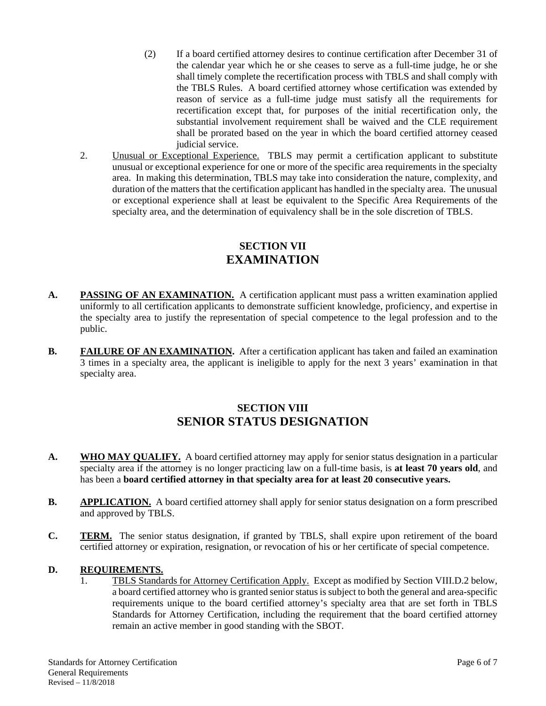- (2) If a board certified attorney desires to continue certification after December 31 of the calendar year which he or she ceases to serve as a full-time judge, he or she shall timely complete the recertification process with TBLS and shall comply with the TBLS Rules. A board certified attorney whose certification was extended by reason of service as a full-time judge must satisfy all the requirements for recertification except that, for purposes of the initial recertification only, the substantial involvement requirement shall be waived and the CLE requirement shall be prorated based on the year in which the board certified attorney ceased judicial service.
- 2. Unusual or Exceptional Experience. TBLS may permit a certification applicant to substitute unusual or exceptional experience for one or more of the specific area requirements in the specialty area. In making this determination, TBLS may take into consideration the nature, complexity, and duration of the matters that the certification applicant has handled in the specialty area. The unusual or exceptional experience shall at least be equivalent to the Specific Area Requirements of the specialty area, and the determination of equivalency shall be in the sole discretion of TBLS.

#### **SECTION VII EXAMINATION**

- A. **PASSING OF AN EXAMINATION.** A certification applicant must pass a written examination applied uniformly to all certification applicants to demonstrate sufficient knowledge, proficiency, and expertise in the specialty area to justify the representation of special competence to the legal profession and to the public.
- **B.** FAILURE OF AN EXAMINATION. After a certification applicant has taken and failed an examination 3 times in a specialty area, the applicant is ineligible to apply for the next 3 years' examination in that specialty area.

## **SECTION VIII SENIOR STATUS DESIGNATION**

- **A. WHO MAY QUALIFY.** A board certified attorney may apply for senior status designation in a particular specialty area if the attorney is no longer practicing law on a full-time basis, is **at least 70 years old**, and has been a **board certified attorney in that specialty area for at least 20 consecutive years.**
- **B.** APPLICATION. A board certified attorney shall apply for senior status designation on a form prescribed and approved by TBLS.
- **C. TERM.** The senior status designation, if granted by TBLS, shall expire upon retirement of the board certified attorney or expiration, resignation, or revocation of his or her certificate of special competence.

#### **D. REQUIREMENTS.**

1. TBLS Standards for Attorney Certification Apply. Except as modified by Section VIII.D.2 below, a board certified attorney who is granted senior status is subject to both the general and area-specific requirements unique to the board certified attorney's specialty area that are set forth in TBLS Standards for Attorney Certification, including the requirement that the board certified attorney remain an active member in good standing with the SBOT.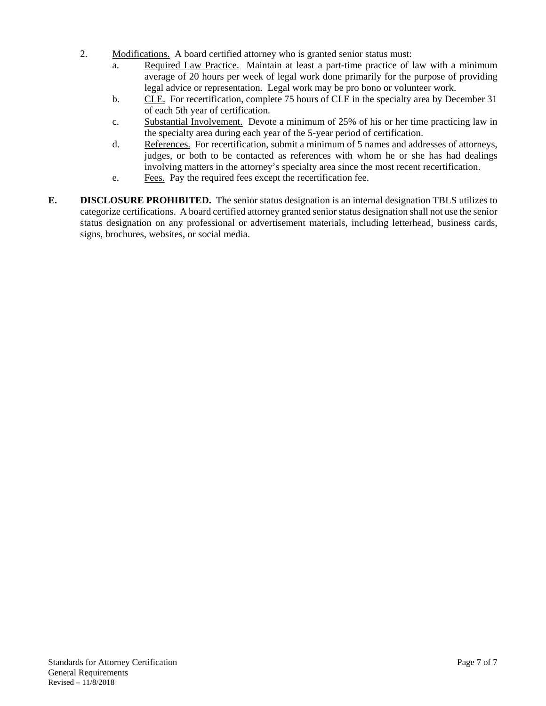- 2. Modifications. A board certified attorney who is granted senior status must:
	- a. Required Law Practice. Maintain at least a part-time practice of law with a minimum average of 20 hours per week of legal work done primarily for the purpose of providing legal advice or representation. Legal work may be pro bono or volunteer work.
	- b. CLE. For recertification, complete 75 hours of CLE in the specialty area by December 31 of each 5th year of certification.
	- c. Substantial Involvement. Devote a minimum of 25% of his or her time practicing law in the specialty area during each year of the 5-year period of certification.
	- d. References. For recertification, submit a minimum of 5 names and addresses of attorneys, judges, or both to be contacted as references with whom he or she has had dealings involving matters in the attorney's specialty area since the most recent recertification.
	- e. Fees. Pay the required fees except the recertification fee.
- **E. DISCLOSURE PROHIBITED.** The senior status designation is an internal designation TBLS utilizes to categorize certifications. A board certified attorney granted senior status designation shall not use the senior status designation on any professional or advertisement materials, including letterhead, business cards, signs, brochures, websites, or social media.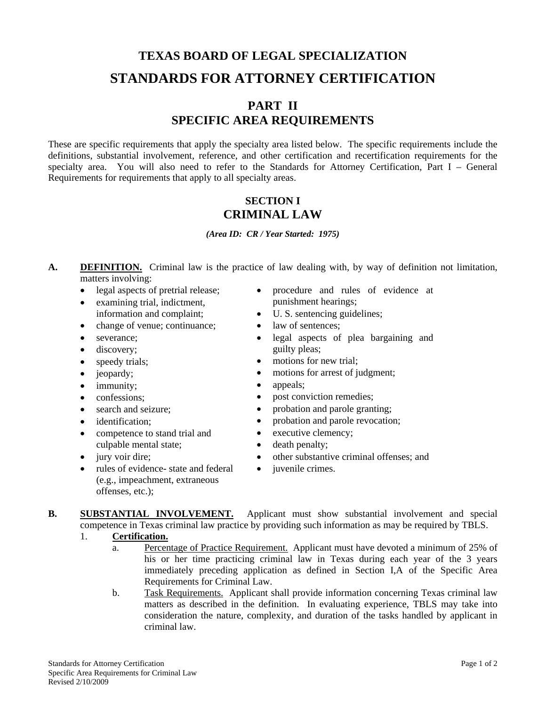## **TEXAS BOARD OF LEGAL SPECIALIZATION STANDARDS FOR ATTORNEY CERTIFICATION**

## **PART II SPECIFIC AREA REQUIREMENTS**

These are specific requirements that apply the specialty area listed below. The specific requirements include the definitions, substantial involvement, reference, and other certification and recertification requirements for the specialty area. You will also need to refer to the Standards for Attorney Certification, Part I – General Requirements for requirements that apply to all specialty areas.

### **SECTION I CRIMINAL LAW**

*(Area ID: CR / Year Started: 1975)* 

- **A. DEFINITION.** Criminal law is the practice of law dealing with, by way of definition not limitation, matters involving:
	- legal aspects of pretrial release;
	- examining trial, indictment,
	- information and complaint;
	- change of venue; continuance;
	- severance;
	- discovery;
	- speedy trials;
	- jeopardy;
	- immunity;
	- confessions;
	- search and seizure:
	- identification:
	- competence to stand trial and culpable mental state;
	- jury voir dire;
	- rules of evidence- state and federal (e.g., impeachment, extraneous offenses, etc.);
- procedure and rules of evidence at punishment hearings;
- U. S. sentencing guidelines;
- law of sentences:
- legal aspects of plea bargaining and guilty pleas;
- motions for new trial;
- motions for arrest of judgment;
- appeals;
- post conviction remedies;
- probation and parole granting;
- probation and parole revocation;
- executive clemency;
- death penalty;
- other substantive criminal offenses; and
- *juvenile crimes.*
- **B. SUBSTANTIAL INVOLVEMENT.** Applicant must show substantial involvement and special competence in Texas criminal law practice by providing such information as may be required by TBLS.
	- 1. **Certification.**
		- a. Percentage of Practice Requirement. Applicant must have devoted a minimum of 25% of his or her time practicing criminal law in Texas during each year of the 3 years immediately preceding application as defined in Section I,A of the Specific Area Requirements for Criminal Law.
		- b. Task Requirements. Applicant shall provide information concerning Texas criminal law matters as described in the definition. In evaluating experience, TBLS may take into consideration the nature, complexity, and duration of the tasks handled by applicant in criminal law.